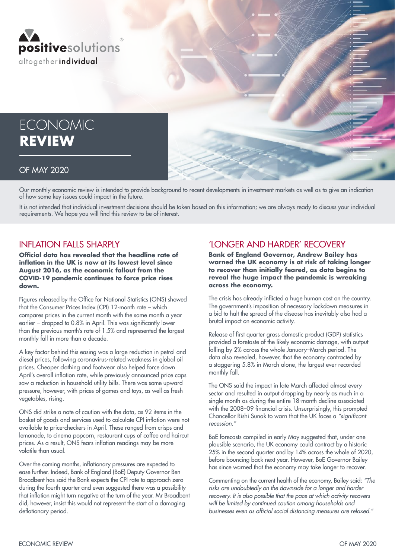

# **ECONOMIC REVIEW**

#### OF MAY 2020

Our monthly economic review is intended to provide background to recent developments in investment markets as well as to give an indication of how some key issues could impact in the future.

It is not intended that individual investment decisions should be taken based on this information; we are always ready to discuss your individual requirements. We hope you will find this review to be of interest.

### INFLATION FALLS SHARPLY

**Official data has revealed that the headline rate of inflation in the UK is now at its lowest level since August 2016, as the economic fallout from the COVID-19 pandemic continues to force price rises down.**

Figures released by the Office for National Statistics (ONS) showed that the Consumer Prices Index (CPI) 12-month rate – which compares prices in the current month with the same month a year earlier – dropped to 0.8% in April. This was significantly lower than the previous month's rate of 1.5% and represented the largest monthly fall in more than a decade.

A key factor behind this easing was a large reduction in petrol and diesel prices, following coronavirus-related weakness in global oil prices. Cheaper clothing and footwear also helped force down April's overall inflation rate, while previously announced price caps saw a reduction in household utility bills. There was some upward pressure, however, with prices of games and toys, as well as fresh vegetables, rising.

ONS did strike a note of caution with the data, as 92 items in the basket of goods and services used to calculate CPI inflation were not available to price-checkers in April. These ranged from crisps and lemonade, to cinema popcorn, restaurant cups of coffee and haircut prices. As a result, ONS fears inflation readings may be more volatile than usual.

Over the coming months, inflationary pressures are expected to ease further. Indeed, Bank of England (BoE) Deputy Governor Ben Broadbent has said the Bank expects the CPI rate to approach zero during the fourth quarter and even suggested there was a possibility that inflation might turn negative at the turn of the year. Mr Broadbent did, however, insist this would not represent the start of a damaging deflationary period.

## 'LONGER AND HARDER' RECOVERY

**Bank of England Governor, Andrew Bailey has warned the UK economy is at risk of taking longer to recover than initially feared, as data begins to reveal the huge impact the pandemic is wreaking across the economy.**

The crisis has already inflicted a huge human cost on the country. The government's imposition of necessary lockdown measures in a bid to halt the spread of the disease has inevitably also had a brutal impact on economic activity.

Release of first quarter gross domestic product (GDP) statistics provided a foretaste of the likely economic damage, with output falling by 2% across the whole January–March period. The data also revealed, however, that the economy contracted by a staggering 5.8% in March alone, the largest ever recorded monthly fall.

The ONS said the impact in late March affected almost every sector and resulted in output dropping by nearly as much in a single month as during the entire 18-month decline associated with the 2008–09 financial crisis. Unsurprisingly, this prompted Chancellor Rishi Sunak to warn that the UK faces a "significant recession."

BoE forecasts compiled in early May suggested that, under one plausible scenario, the UK economy could contract by a historic 25% in the second quarter and by 14% across the whole of 2020, before bouncing back next year. However, BoE Governor Bailey has since warned that the economy may take longer to recover.

Commenting on the current health of the economy, Bailey said: "The risks are undoubtedly on the downside for a longer and harder recovery. It is also possible that the pace at which activity recovers will be limited by continued caution among households and businesses even as official social distancing measures are relaxed."